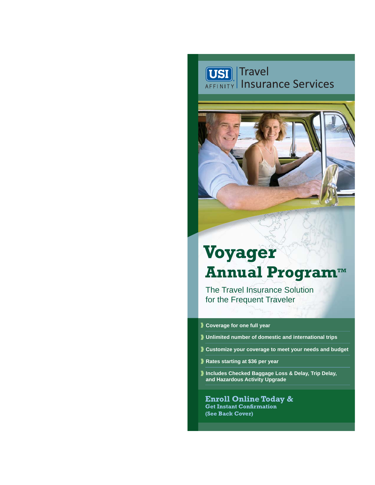# **USI** Travel<br>AFFINITY Insurance Services



# **Voyager Annual Program™**

The Travel Insurance Solution for the Frequent Traveler

#### **Coverage for one full year**

- **Unlimited number of domestic and international trips**
- **Customize your coverage to meet your needs and budget**
- **Rates starting at \$36 per year**
- **Includes Checked Baggage Loss & Delay, Trip Delay, and Hazardous Activity Upgrade**

**Enroll Online Today & Get Instant Confirmation (See Back Cover)**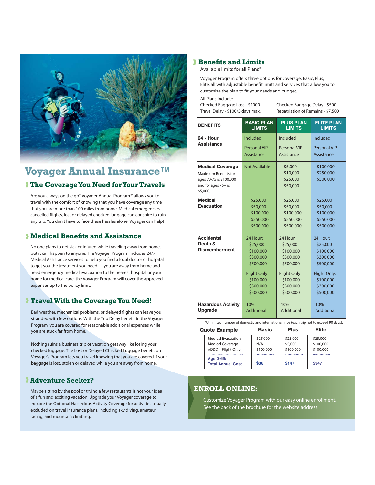

## **Voyager Annual Insurance™ The Coverage You Need for Your Travels**

Are you always on the go? Voyager Annual Program™ allows you to travel with the comfort of knowing that you have coverage any time that you are more than 100 miles from home. Medical emergencies, cancelled flights, lost or delayed checked luggage can conspire to ruin any trip. You don't have to face these hassles alone, Voyager can help!

#### **Medical Benefits and Assistance**

No one plans to get sick or injured while traveling away from home, but it can happen to anyone. The Voyager Program includes 24/7 Medical Assistance services to help you find a local doctor or hospital to get you the treatment you need. If you are away from home and need emergency medical evacuation to the nearest hospital or your home for medical care, the Voyager Program will cover the approved expenses up to the policy limit.

#### **Travel With the Coverage You Need!**

Bad weather, mechanical problems, or delayed flights can leave you stranded with few options. With the Trip Delay benefit in the Voyager Program, you are covered for reasonable additional expenses while you are stuck far from home.

Nothing ruins a business trip or vacation getaway like losing your checked luggage. The Lost or Delayed Checked Luggage benefit on Voyager's Program lets you travel knowing that you are covered if your baggage is lost, stolen or delayed while you are away from home.

#### **Adventure Seeker?**

Maybe sitting by the pool or trying a few restaurants is not your idea of a fun and exciting vacation. Upgrade your Voyager coverage to include the Optional Hazardous Activity Coverage for activities usually excluded on travel insurance plans, including sky diving, amateur racing, and mountain climbing.

#### **Benefits and Limits**

Available limits for all Plans\*

Voyager Program offers three options for coverage: Basic, Plus, Elite, all with adjustable benefit limits and services that allow vou to customize the plan to fit your needs and budget.

All Plans include:

Checked Baggage Loss - \$1000 Checked Baggage Delay - \$500 Travel Delay - \$100/5 days max. Repatriation of Remains - \$7,500

| <b>BENEFITS</b>                                                                                               | <b>BASIC PLAN</b><br><b>LIMITS</b>                                                                                 | <b>PLUS PLAN</b><br><b>LIMITS</b>                                                                                  | <b>ELITE PLAN</b><br><b>LIMITS</b>                                                                                 |
|---------------------------------------------------------------------------------------------------------------|--------------------------------------------------------------------------------------------------------------------|--------------------------------------------------------------------------------------------------------------------|--------------------------------------------------------------------------------------------------------------------|
| <b>24 - Hour</b><br>Assistance                                                                                | Included<br><b>Personal VIP</b><br>Assistance                                                                      | Included<br>Personal VIP<br>Assistance                                                                             | Included<br><b>Personal VIP</b><br>Assistance                                                                      |
| <b>Medical Coverage</b><br>Maximum Benefits for<br>ages 70-75 is \$100,000<br>and for ages 76+ is<br>\$5,000. | <b>Not Available</b>                                                                                               | \$5,000<br>\$10,000<br>\$25,000<br>\$50,000                                                                        | \$100,000<br>\$250,000<br>\$500,000                                                                                |
| <b>Medical</b><br>Evacuation                                                                                  | \$25,000<br>\$50,000<br>\$100,000<br>\$250,000<br>\$500,000                                                        | \$25,000<br>\$50,000<br>\$100,000<br>\$250,000<br>\$500,000                                                        | \$25,000<br>\$50,000<br>\$100,000<br>\$250,000<br>\$500,000                                                        |
| <b>Accidental</b><br>Death &<br><b>Dismemberment</b>                                                          | 24 Hour:<br>\$25,000<br>\$100,000<br>\$300,000<br>\$500,000<br>Flight Only:<br>\$100,000<br>\$300,000<br>\$500,000 | 24 Hour:<br>\$25,000<br>\$100,000<br>\$300,000<br>\$500,000<br>Flight Only:<br>\$100,000<br>\$300,000<br>\$500,000 | 24 Hour:<br>\$25,000<br>\$100,000<br>\$300,000<br>\$500,000<br>Flight Only:<br>\$100,000<br>\$300,000<br>\$500,000 |
| <b>Hazardous Activity</b><br>Upgrade                                                                          | 10%<br><b>Additional</b>                                                                                           | 10%<br>Additional                                                                                                  | 10%<br>Additional                                                                                                  |

\*Unlimited number of domestic and international trips (each trip not to exceed 90 days).

| <b>Quote Example</b>                  | <b>Basic</b> | <b>Plus</b> | Elite     |
|---------------------------------------|--------------|-------------|-----------|
| <b>Medical Evacuation</b>             | \$25,000     | \$25,000    | \$25,000  |
| <b>Medical Coverage</b>               | N/A          | \$5,000     | \$100,000 |
| AD&D - Flight Only                    | \$100,000    | \$100,000   | \$100,000 |
| Age 0-69:<br><b>Total Annual Cost</b> | \$36         | \$147       | \$347     |
|                                       |              |             |           |

#### **ENROLL ONLINE:**

Customize Voyager Program with our easy online enrollment. See the back of the brochure for the website address.